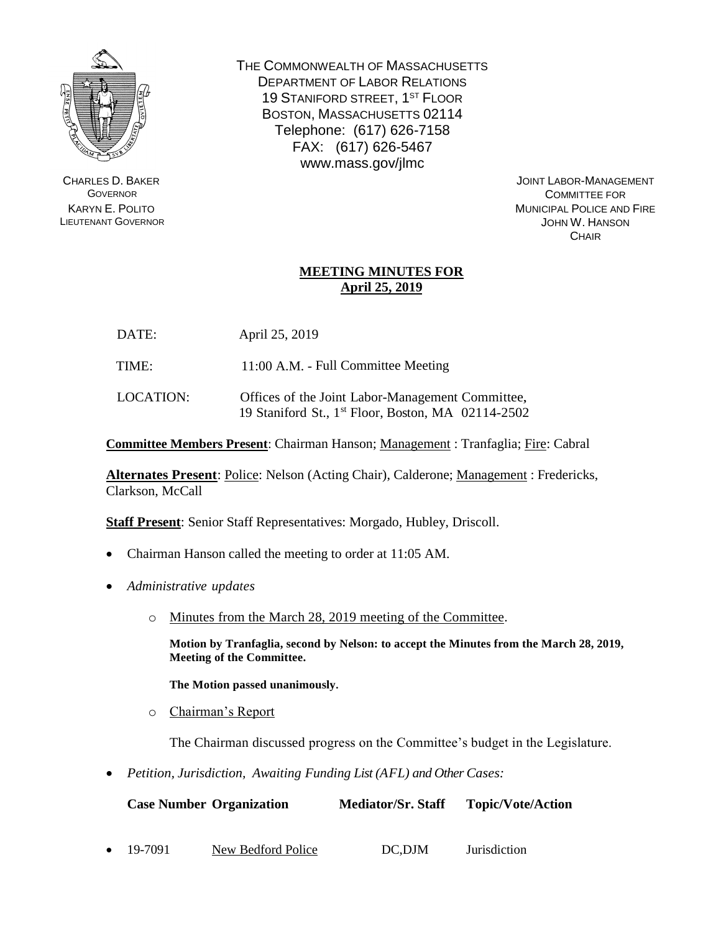

CHARLES D. BAKER **GOVERNOR** KARYN E. POLITO LIEUTENANT GOVERNOR THE COMMONWEALTH OF MASSACHUSETTS DEPARTMENT OF LABOR RELATIONS 19 STANIFORD STREET, 1<sup>ST</sup> FLOOR BOSTON, MASSACHUSETTS 02114 Telephone: (617) 626-7158 FAX: (617) 626-5467 www.mass.gov/jlmc

> JOINT LABOR-MANAGEMENT COMMITTEE FOR MUNICIPAL POLICE AND FIRE JOHN W. HANSON **CHAIR**

## **MEETING MINUTES FOR April 25, 2019**

- DATE: April 25, 2019
- TIME: 11:00 A.M. Full Committee Meeting
- LOCATION: Offices of the Joint Labor-Management Committee, 19 Staniford St., 1 st Floor, Boston, MA 02114-2502

**Committee Members Present**: Chairman Hanson; Management : Tranfaglia; Fire: Cabral

**Alternates Present**: Police: Nelson (Acting Chair), Calderone; Management : Fredericks, Clarkson, McCall

**Staff Present**: Senior Staff Representatives: Morgado, Hubley, Driscoll.

- Chairman Hanson called the meeting to order at 11:05 AM.
- *Administrative updates*
	- o Minutes from the March 28, 2019 meeting of the Committee.

**Motion by Tranfaglia, second by Nelson: to accept the Minutes from the March 28, 2019, Meeting of the Committee.** 

**The Motion passed unanimously.**

o Chairman's Report

The Chairman discussed progress on the Committee's budget in the Legislature.

• *Petition, Jurisdiction, Awaiting Funding List (AFL) and Other Cases:*

| <b>Case Number Organization</b> |                    | <b>Mediator/Sr. Staff</b> | <b>Topic/Vote/Action</b> |  |
|---------------------------------|--------------------|---------------------------|--------------------------|--|
|                                 |                    |                           |                          |  |
| $\bullet$ 19-7091               | New Bedford Police | DC.DJM                    | <i>Jurisdiction</i>      |  |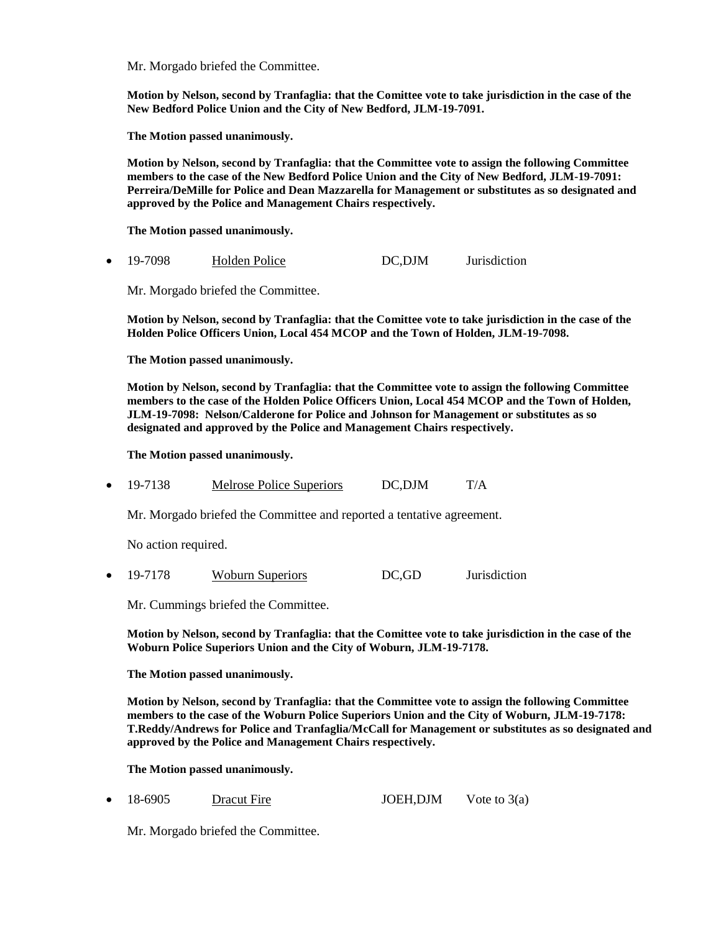Mr. Morgado briefed the Committee.

**Motion by Nelson, second by Tranfaglia: that the Comittee vote to take jurisdiction in the case of the New Bedford Police Union and the City of New Bedford, JLM-19-7091.**

**The Motion passed unanimously.**

**Motion by Nelson, second by Tranfaglia: that the Committee vote to assign the following Committee members to the case of the New Bedford Police Union and the City of New Bedford, JLM-19-7091: Perreira/DeMille for Police and Dean Mazzarella for Management or substitutes as so designated and approved by the Police and Management Chairs respectively.**

**The Motion passed unanimously.**

• 19-7098 Holden Police DC,DJM Jurisdiction

Mr. Morgado briefed the Committee.

**Motion by Nelson, second by Tranfaglia: that the Comittee vote to take jurisdiction in the case of the Holden Police Officers Union, Local 454 MCOP and the Town of Holden, JLM-19-7098.**

**The Motion passed unanimously.**

**Motion by Nelson, second by Tranfaglia: that the Committee vote to assign the following Committee members to the case of the Holden Police Officers Union, Local 454 MCOP and the Town of Holden, JLM-19-7098: Nelson/Calderone for Police and Johnson for Management or substitutes as so designated and approved by the Police and Management Chairs respectively.**

**The Motion passed unanimously.**

• 19-7138 Melrose Police Superiors DC,DJM T/A

Mr. Morgado briefed the Committee and reported a tentative agreement.

No action required.

• 19-7178 Woburn Superiors DC,GD Jurisdiction

Mr. Cummings briefed the Committee.

**Motion by Nelson, second by Tranfaglia: that the Comittee vote to take jurisdiction in the case of the Woburn Police Superiors Union and the City of Woburn, JLM-19-7178.**

**The Motion passed unanimously.**

**Motion by Nelson, second by Tranfaglia: that the Committee vote to assign the following Committee members to the case of the Woburn Police Superiors Union and the City of Woburn, JLM-19-7178: T.Reddy/Andrews for Police and Tranfaglia/McCall for Management or substitutes as so designated and approved by the Police and Management Chairs respectively.**

**The Motion passed unanimously.**

18-6905 Dracut Fire JOEH,DJM Vote to 3(a)

Mr. Morgado briefed the Committee.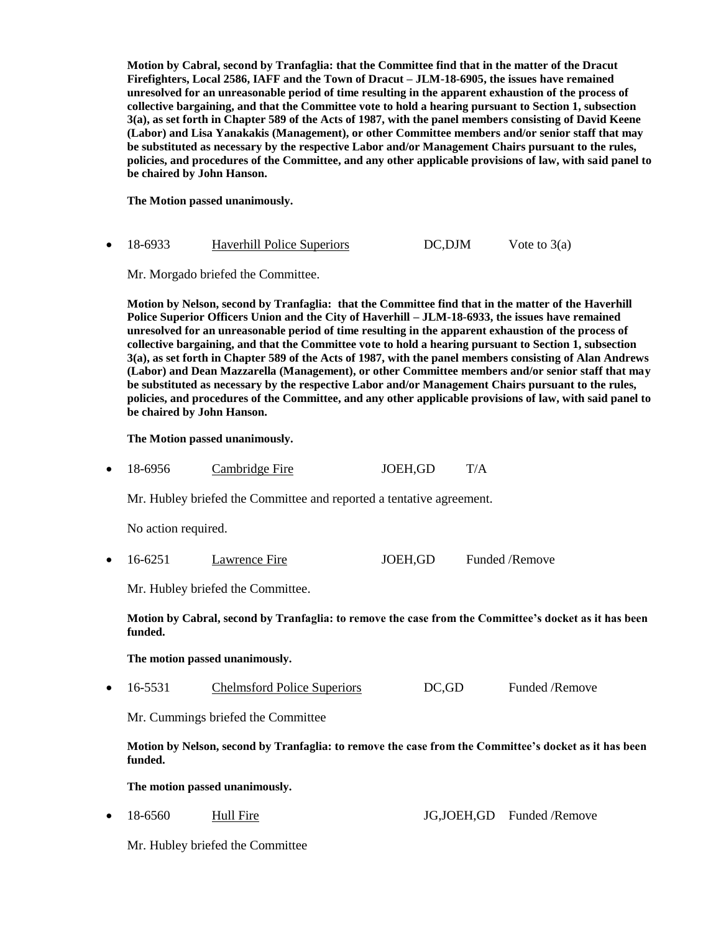**Motion by Cabral, second by Tranfaglia: that the Committee find that in the matter of the Dracut Firefighters, Local 2586, IAFF and the Town of Dracut – JLM-18-6905, the issues have remained unresolved for an unreasonable period of time resulting in the apparent exhaustion of the process of collective bargaining, and that the Committee vote to hold a hearing pursuant to Section 1, subsection 3(a), as set forth in Chapter 589 of the Acts of 1987, with the panel members consisting of David Keene (Labor) and Lisa Yanakakis (Management), or other Committee members and/or senior staff that may be substituted as necessary by the respective Labor and/or Management Chairs pursuant to the rules, policies, and procedures of the Committee, and any other applicable provisions of law, with said panel to be chaired by John Hanson.**

**The Motion passed unanimously.**

| 18-6933 | <b>Haverhill Police Superiors</b> | DC, DJM | Vote to $3(a)$ |
|---------|-----------------------------------|---------|----------------|
|         |                                   |         |                |

Mr. Morgado briefed the Committee.

**Motion by Nelson, second by Tranfaglia: that the Committee find that in the matter of the Haverhill Police Superior Officers Union and the City of Haverhill – JLM-18-6933, the issues have remained unresolved for an unreasonable period of time resulting in the apparent exhaustion of the process of collective bargaining, and that the Committee vote to hold a hearing pursuant to Section 1, subsection 3(a), as set forth in Chapter 589 of the Acts of 1987, with the panel members consisting of Alan Andrews (Labor) and Dean Mazzarella (Management), or other Committee members and/or senior staff that may be substituted as necessary by the respective Labor and/or Management Chairs pursuant to the rules, policies, and procedures of the Committee, and any other applicable provisions of law, with said panel to be chaired by John Hanson.**

**The Motion passed unanimously.**

18-6956 Cambridge Fire JOEH,GD T/A

Mr. Hubley briefed the Committee and reported a tentative agreement.

No action required.

• 16-6251 Lawrence Fire JOEH,GD Funded /Remove

Mr. Hubley briefed the Committee.

**Motion by Cabral, second by Tranfaglia: to remove the case from the Committee's docket as it has been funded.** 

**The motion passed unanimously.**

• 16-5531 Chelmsford Police Superiors DC,GD Funded /Remove

Mr. Cummings briefed the Committee

**Motion by Nelson, second by Tranfaglia: to remove the case from the Committee's docket as it has been funded.** 

**The motion passed unanimously.**

18-6560 Hull Fire JG,JOEH,GD Funded /Remove

Mr. Hubley briefed the Committee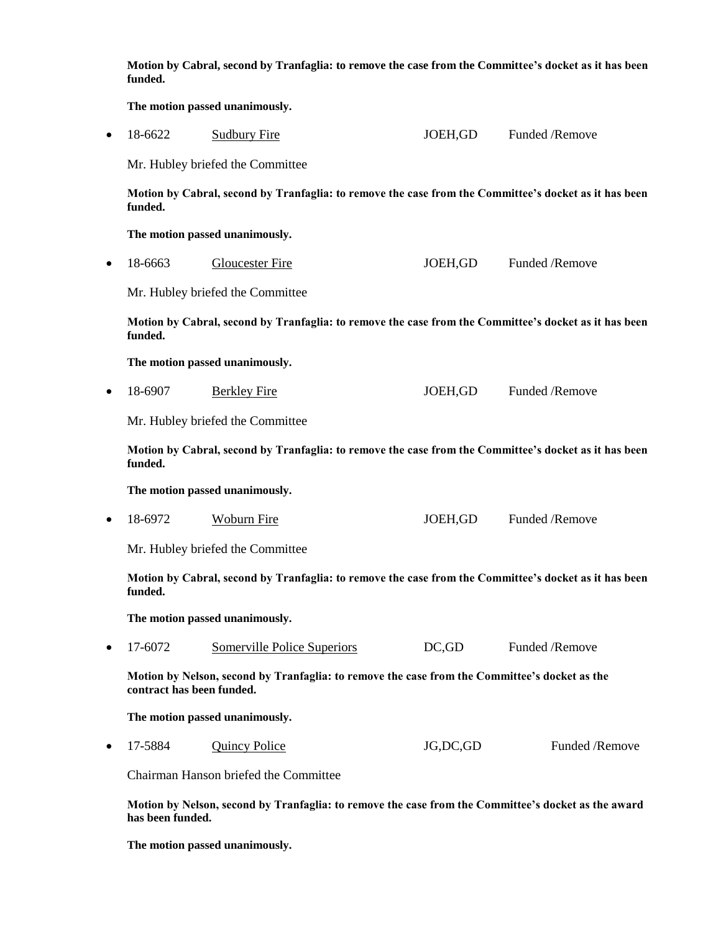|           | Motion by Cabral, second by Tranfaglia: to remove the case from the Committee's docket as it has been<br>funded.           |                                  |            |                |  |  |
|-----------|----------------------------------------------------------------------------------------------------------------------------|----------------------------------|------------|----------------|--|--|
|           | The motion passed unanimously.                                                                                             |                                  |            |                |  |  |
| $\bullet$ | 18-6622                                                                                                                    | <b>Sudbury Fire</b>              | JOEH, GD   | Funded /Remove |  |  |
|           |                                                                                                                            | Mr. Hubley briefed the Committee |            |                |  |  |
|           | Motion by Cabral, second by Tranfaglia: to remove the case from the Committee's docket as it has been<br>funded.           |                                  |            |                |  |  |
|           | The motion passed unanimously.                                                                                             |                                  |            |                |  |  |
| $\bullet$ | 18-6663                                                                                                                    | <b>Gloucester Fire</b>           | JOEH, GD   | Funded /Remove |  |  |
|           |                                                                                                                            | Mr. Hubley briefed the Committee |            |                |  |  |
|           | Motion by Cabral, second by Tranfaglia: to remove the case from the Committee's docket as it has been<br>funded.           |                                  |            |                |  |  |
|           |                                                                                                                            | The motion passed unanimously.   |            |                |  |  |
| $\bullet$ | 18-6907                                                                                                                    | <b>Berkley Fire</b>              | JOEH, GD   | Funded /Remove |  |  |
|           |                                                                                                                            | Mr. Hubley briefed the Committee |            |                |  |  |
|           | Motion by Cabral, second by Tranfaglia: to remove the case from the Committee's docket as it has been<br>funded.           |                                  |            |                |  |  |
|           |                                                                                                                            | The motion passed unanimously.   |            |                |  |  |
| $\bullet$ | 18-6972                                                                                                                    | <b>Woburn Fire</b>               | JOEH, GD   | Funded /Remove |  |  |
|           |                                                                                                                            | Mr. Hubley briefed the Committee |            |                |  |  |
|           | Motion by Cabral, second by Tranfaglia: to remove the case from the Committee's docket as it has been<br>funded.           |                                  |            |                |  |  |
|           | The motion passed unanimously.                                                                                             |                                  |            |                |  |  |
| $\bullet$ | 17-6072                                                                                                                    | Somerville Police Superiors      | DC, GD     | Funded /Remove |  |  |
|           | Motion by Nelson, second by Tranfaglia: to remove the case from the Committee's docket as the<br>contract has been funded. |                                  |            |                |  |  |
|           | The motion passed unanimously.                                                                                             |                                  |            |                |  |  |
| $\bullet$ | 17-5884                                                                                                                    | <b>Quincy Police</b>             | JG, DC, GD | Funded /Remove |  |  |
|           | Chairman Hanson briefed the Committee                                                                                      |                                  |            |                |  |  |
|           | Motion by Nelson, second by Tranfaglia: to remove the case from the Committee's docket as the award<br>has been funded.    |                                  |            |                |  |  |

**The motion passed unanimously.**